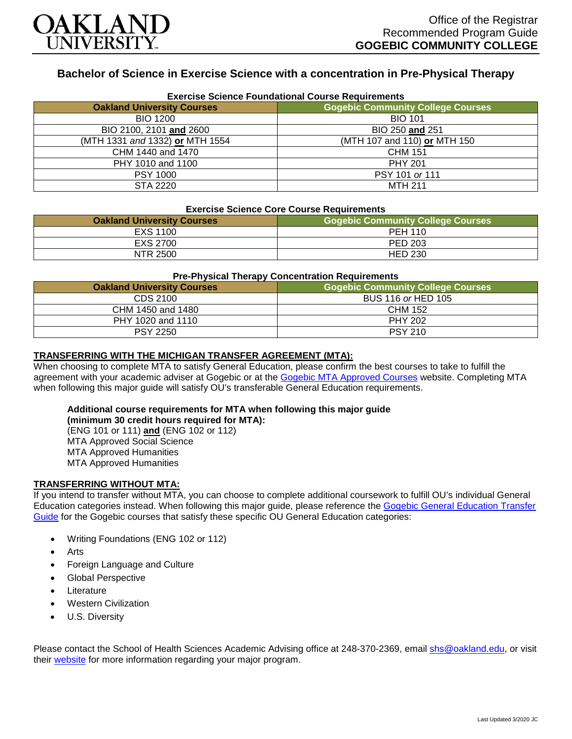

# **Bachelor of Science in Exercise Science with a concentration in Pre-Physical Therapy**

| <b>Exercise Science Foundational Course Requirements</b> |                                          |  |
|----------------------------------------------------------|------------------------------------------|--|
| <b>Oakland University Courses</b>                        | <b>Gogebic Community College Courses</b> |  |
| <b>BIO 1200</b>                                          | <b>BIO 101</b>                           |  |
| BIO 2100, 2101 and 2600                                  | BIO 250 and 251                          |  |
| (MTH 1331 and 1332) or MTH 1554                          | (MTH 107 and 110) or MTH 150             |  |
| CHM 1440 and 1470                                        | <b>CHM 151</b>                           |  |
| PHY 1010 and 1100                                        | <b>PHY 201</b>                           |  |
| <b>PSY 1000</b>                                          | PSY 101 or 111                           |  |
| STA 2220                                                 | <b>MTH 211</b>                           |  |

### **Exercise Science Core Course Requirements**

| <b>Oakland University Courses</b> | <b>Gogebic Community College Courses</b> |
|-----------------------------------|------------------------------------------|
| EXS 1100                          | <b>PEH 110</b>                           |
| EXS 2700                          | PED 203                                  |
| NTR 2500                          | <b>HED 230</b>                           |

#### **Pre-Physical Therapy Concentration Requirements**

| <b>Oakland University Courses</b> | Gogebic Community College Courses <b> </b> |
|-----------------------------------|--------------------------------------------|
| CDS 2100                          | BUS 116 or HED 105                         |
| CHM 1450 and 1480                 | CHM 152                                    |
| PHY 1020 and 1110                 | <b>PHY 202</b>                             |
| <b>PSY 2250</b>                   | <b>PSY 210</b>                             |

#### **TRANSFERRING WITH THE MICHIGAN TRANSFER AGREEMENT (MTA):**

When choosing to complete MTA to satisfy General Education, please confirm the best courses to take to fulfill the agreement with your academic adviser at Gogebic or at the [Gogebic MTA Approved Courses](https://www.gogebic.edu/Academics/transferinformation.html) website. Completing MTA when following this major guide will satisfy OU's transferable General Education requirements.

## **Additional course requirements for MTA when following this major guide**

**(minimum 30 credit hours required for MTA):** (ENG 101 or 111) **and** (ENG 102 or 112) MTA Approved Social Science MTA Approved Humanities MTA Approved Humanities

### **TRANSFERRING WITHOUT MTA:**

If you intend to transfer without MTA, you can choose to complete additional coursework to fulfill OU's individual General Education categories instead. When following this major guide, please reference the [Gogebic General Education Transfer](https://www.oakland.edu/Assets/Oakland/program-guides/gogebic-community-college/university-general-education-requirements/Gogebic%20Gen%20Ed.pdf)  [Guide](https://www.oakland.edu/Assets/Oakland/program-guides/gogebic-community-college/university-general-education-requirements/Gogebic%20Gen%20Ed.pdf) for the Gogebic courses that satisfy these specific OU General Education categories:

- Writing Foundations (ENG 102 or 112)
- Arts
- Foreign Language and Culture
- Global Perspective
- **Literature**
- Western Civilization
- U.S. Diversity

Please contact the School of Health Sciences Academic Advising office at 248-370-2369, email [shs@oakland.edu,](mailto:shs@oakland.edu) or visit their [website](http://www.oakland.edu/shs/advising) for more information regarding your major program.